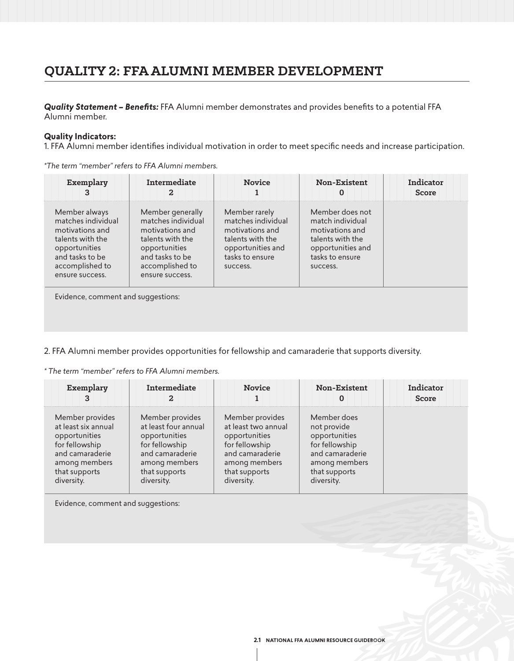# **QUALITY 2: FFA ALUMNI MEMBER DEVELOPMENT**

*Quality Statement – Benefits:* FFA Alumni member demonstrates and provides benefits to a potential FFA Alumni member.

## **Quality Indicators:**

1. FFA Alumni member identifies individual motivation in order to meet specific needs and increase participation.

*\*The term "member" refers to FFA Alumni members.*

| Exemplary                                                                                                                                            | Intermediate                                                                                                                                            | <b>Novice</b>                                                                                                                  | Non-Existent                                                                                                                   | Indicator<br>Score |
|------------------------------------------------------------------------------------------------------------------------------------------------------|---------------------------------------------------------------------------------------------------------------------------------------------------------|--------------------------------------------------------------------------------------------------------------------------------|--------------------------------------------------------------------------------------------------------------------------------|--------------------|
| Member always<br>matches individual<br>motivations and<br>talents with the<br>opportunities<br>and tasks to be<br>accomplished to<br>ensure success. | Member generally<br>matches individual<br>motivations and<br>talents with the<br>opportunities<br>and tasks to be<br>accomplished to<br>ensure success. | Member rarely<br>matches individual<br>motivations and<br>talents with the<br>opportunities and<br>tasks to ensure<br>success. | Member does not<br>match individual<br>motivations and<br>talents with the<br>opportunities and<br>tasks to ensure<br>success. |                    |
| Evidence, comment and suggestions:                                                                                                                   |                                                                                                                                                         |                                                                                                                                |                                                                                                                                |                    |

2. FFA Alumni member provides opportunities for fellowship and camaraderie that supports diversity.

*\* The term "member" refers to FFA Alumni members.*

| Exemplary           | Intermediate         | <b>Novice</b>       | Non-Existent    | Indicator<br><b>Score</b> |
|---------------------|----------------------|---------------------|-----------------|---------------------------|
| Member provides     | Member provides      | Member provides     | Member does     |                           |
| at least six annual | at least four annual | at least two annual | not provide     |                           |
| opportunities       | opportunities        | opportunities       | opportunities   |                           |
| for fellowship      | for fellowship       | for fellowship      | for fellowship  |                           |
| and camaraderie     | and camaraderie      | and camaraderie     | and camaraderie |                           |
| among members       | among members        | among members       | among members   |                           |
| that supports       | that supports        | that supports       | that supports   |                           |
| diversity.          | diversity.           | diversity.          | diversity.      |                           |

Evidence, comment and suggestions: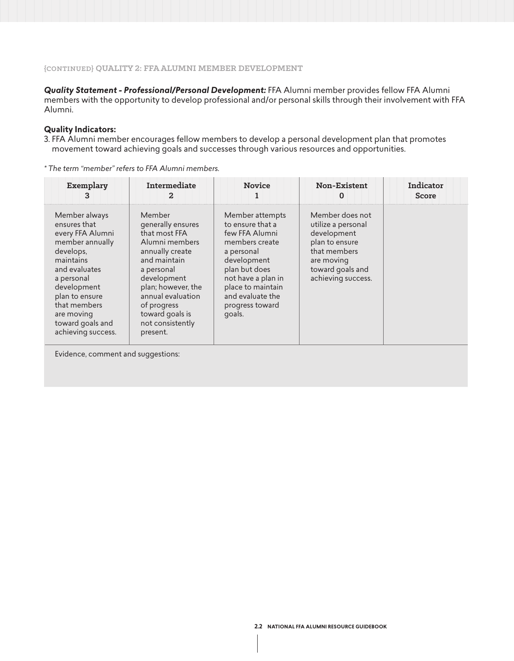#### **{CONTINUED} QUALITY 2: FFA ALUMNI MEMBER DEVELOPMENT**

*Quality Statement - Professional/Personal Development:* FFA Alumni member provides fellow FFA Alumni members with the opportunity to develop professional and/or personal skills through their involvement with FFA Alumni.

### **Quality Indicators:**

3. FFA Alumni member encourages fellow members to develop a personal development plan that promotes movement toward achieving goals and successes through various resources and opportunities.

*\* The term "member" refers to FFA Alumni members.*

| Exemplary<br>3                                                                                                                                                                                                                         | Intermediate<br>2                                                                                                                                                                                                                           | <b>Novice</b>                                                                                                                                                                                                     | Non-Existent<br>0                                                                                                                              | Indicator<br><b>Score</b> |
|----------------------------------------------------------------------------------------------------------------------------------------------------------------------------------------------------------------------------------------|---------------------------------------------------------------------------------------------------------------------------------------------------------------------------------------------------------------------------------------------|-------------------------------------------------------------------------------------------------------------------------------------------------------------------------------------------------------------------|------------------------------------------------------------------------------------------------------------------------------------------------|---------------------------|
| Member always<br>ensures that<br>every FFA Alumni<br>member annually<br>develops,<br>maintains<br>and evaluates<br>a personal<br>development<br>plan to ensure<br>that members<br>are moving<br>toward goals and<br>achieving success. | Member<br>generally ensures<br>that most FFA<br>Alumni members<br>annually create<br>and maintain<br>a personal<br>development<br>plan; however, the<br>annual evaluation<br>of progress<br>toward goals is<br>not consistently<br>present. | Member attempts<br>to ensure that a<br>few FFA Alumni<br>members create<br>a personal<br>development<br>plan but does<br>not have a plan in<br>place to maintain<br>and evaluate the<br>progress toward<br>goals. | Member does not<br>utilize a personal<br>development<br>plan to ensure<br>that members<br>are moving<br>toward goals and<br>achieving success. |                           |
| Evidence, comment and suggestions:                                                                                                                                                                                                     |                                                                                                                                                                                                                                             |                                                                                                                                                                                                                   |                                                                                                                                                |                           |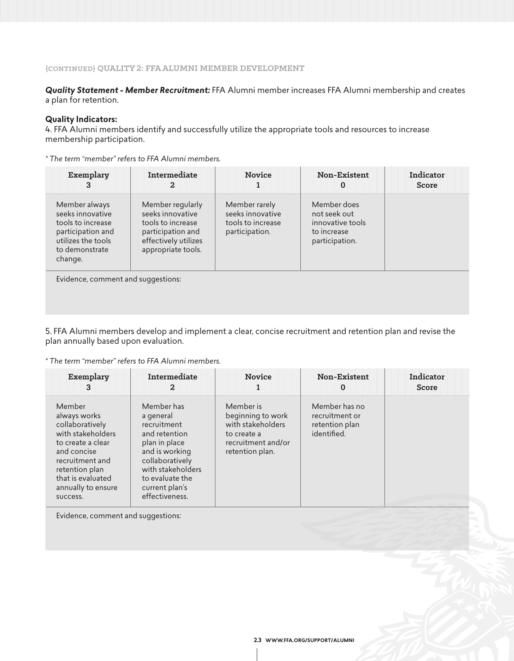### **{CONTINUED} QUALITY 2: FFA ALUMNI MEMBER DEVELOPMENT**

## *Quality Statement - Member Recruitment:* FFA Alumni member increases FFA Alumni membership and creates a plan for retention.

#### **Quality Indicators:**

4. FFA Alumni members identify and successfully utilize the appropriate tools and resources to increase membership participation.

*\* The term "member" refers to FFA Alumni members.*

| Exemplary                                                                                                                      | Intermediate                                                                                                                 | <b>Novice</b>                                                            | <b>Non-Existent</b>                                                              | Indicator<br><b>Score</b> |
|--------------------------------------------------------------------------------------------------------------------------------|------------------------------------------------------------------------------------------------------------------------------|--------------------------------------------------------------------------|----------------------------------------------------------------------------------|---------------------------|
| Member always<br>seeks innovative<br>tools to increase<br>participation and<br>utilizes the tools<br>to demonstrate<br>change. | Member regularly<br>seeks innovative<br>tools to increase<br>participation and<br>effectively utilizes<br>appropriate tools. | Member rarely<br>seeks innovative<br>tools to increase<br>participation. | Member does<br>not seek out<br>innovative tools<br>to increase<br>participation. |                           |
| Fortuit and a communication of a communication of                                                                              |                                                                                                                              |                                                                          |                                                                                  |                           |

Evidence, comment and suggestions:

5. FFA Alumni members develop and implement a clear, concise recruitment and retention plan and revise the plan annually based upon evaluation.

*\* The term "member" refers to FFA Alumni members.*

| Exemplary<br>з                                                                                                                                                                                 | Intermediate                                                                                                                                                                              | <b>Novice</b>                                                                                               | Non-Existent<br>O                                                | Indicator<br><b>Score</b> |
|------------------------------------------------------------------------------------------------------------------------------------------------------------------------------------------------|-------------------------------------------------------------------------------------------------------------------------------------------------------------------------------------------|-------------------------------------------------------------------------------------------------------------|------------------------------------------------------------------|---------------------------|
| Member<br>always works<br>collaboratively<br>with stakeholders<br>to create a clear<br>and concise<br>recruitment and<br>retention plan<br>that is evaluated<br>annually to ensure<br>success. | Member has<br>a general<br>recruitment<br>and retention<br>plan in place<br>and is working<br>collaboratively<br>with stakeholders<br>to evaluate the<br>current plan's<br>effectiveness. | Member is<br>beginning to work<br>with stakeholders<br>to create a<br>recruitment and/or<br>retention plan. | Member has no<br>recruitment or<br>retention plan<br>identified. |                           |

Evidence, comment and suggestions: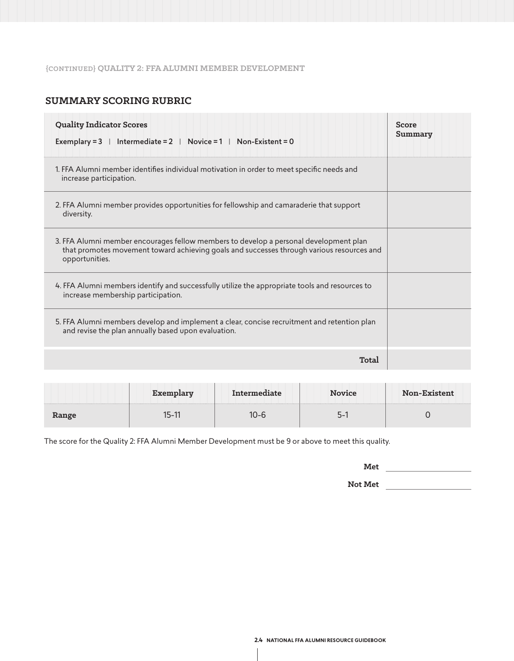#### **{CONTINUED} QUALITY 2: FFA ALUMNI MEMBER DEVELOPMENT**

## **SUMMARY SCORING RUBRIC**

| <b>Quality Indicator Scores</b><br>  Intermediate = 2   Novice = 1   Non-Existent = 0<br>Exemplary $=$ 3                                                                                             | <b>Score</b><br>Summary |
|------------------------------------------------------------------------------------------------------------------------------------------------------------------------------------------------------|-------------------------|
| 1. FFA Alumni member identifies individual motivation in order to meet specific needs and<br>increase participation.                                                                                 |                         |
| 2. FFA Alumni member provides opportunities for fellowship and camaraderie that support<br>diversity.                                                                                                |                         |
| 3. FFA Alumni member encourages fellow members to develop a personal development plan<br>that promotes movement toward achieving goals and successes through various resources and<br>opportunities. |                         |
| 4. FFA Alumni members identify and successfully utilize the appropriate tools and resources to<br>increase membership participation.                                                                 |                         |
| 5. FFA Alumni members develop and implement a clear, concise recruitment and retention plan<br>and revise the plan annually based upon evaluation.                                                   |                         |
| Total                                                                                                                                                                                                |                         |

|   |        | <b>Novice</b> | Non-Exis<br>™ent ∶ |
|---|--------|---------------|--------------------|
| 5 | $\sim$ |               |                    |

The score for the Quality 2: FFA Alumni Member Development must be 9 or above to meet this quality.

**Not Met**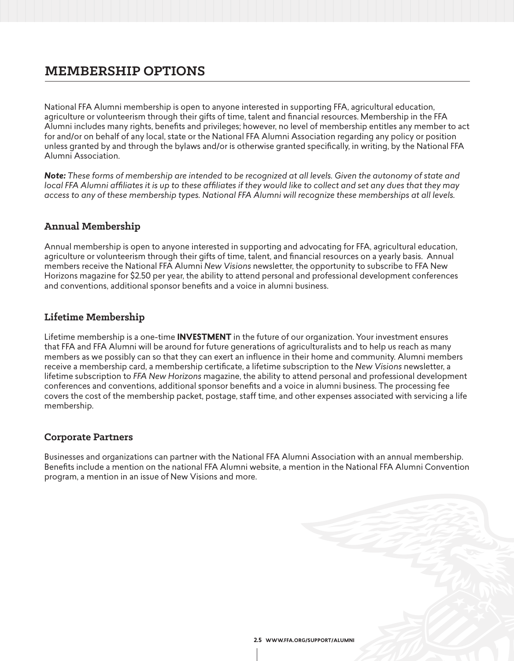# **MEMBERSHIP OPTIONS**

National FFA Alumni membership is open to anyone interested in supporting FFA, agricultural education, agriculture or volunteerism through their gifts of time, talent and financial resources. Membership in the FFA Alumni includes many rights, benefits and privileges; however, no level of membership entitles any member to act for and/or on behalf of any local, state or the National FFA Alumni Association regarding any policy or position unless granted by and through the bylaws and/or is otherwise granted specifically, in writing, by the National FFA Alumni Association.

*Note: These forms of membership are intended to be recognized at all levels. Given the autonomy of state and local FFA Alumni affiliates it is up to these affiliates if they would like to collect and set any dues that they may access to any of these membership types. National FFA Alumni will recognize these memberships at all levels.* 

# **Annual Membership**

Annual membership is open to anyone interested in supporting and advocating for FFA, agricultural education, agriculture or volunteerism through their gifts of time, talent, and financial resources on a yearly basis. Annual members receive the National FFA Alumni *New Visions* newsletter, the opportunity to subscribe to FFA New Horizons magazine for \$2.50 per year, the ability to attend personal and professional development conferences and conventions, additional sponsor benefits and a voice in alumni business.

# **Lifetime Membership**

Lifetime membership is a one-time **INVESTMENT** in the future of our organization. Your investment ensures that FFA and FFA Alumni will be around for future generations of agriculturalists and to help us reach as many members as we possibly can so that they can exert an influence in their home and community. Alumni members receive a membership card, a membership certificate, a lifetime subscription to the *New Visions* newsletter, a lifetime subscription to *FFA New Horizons* magazine, the ability to attend personal and professional development conferences and conventions, additional sponsor benefits and a voice in alumni business. The processing fee covers the cost of the membership packet, postage, staff time, and other expenses associated with servicing a life membership.

# **Corporate Partners**

Businesses and organizations can partner with the National FFA Alumni Association with an annual membership. Benefits include a mention on the national FFA Alumni website, a mention in the National FFA Alumni Convention program, a mention in an issue of New Visions and more.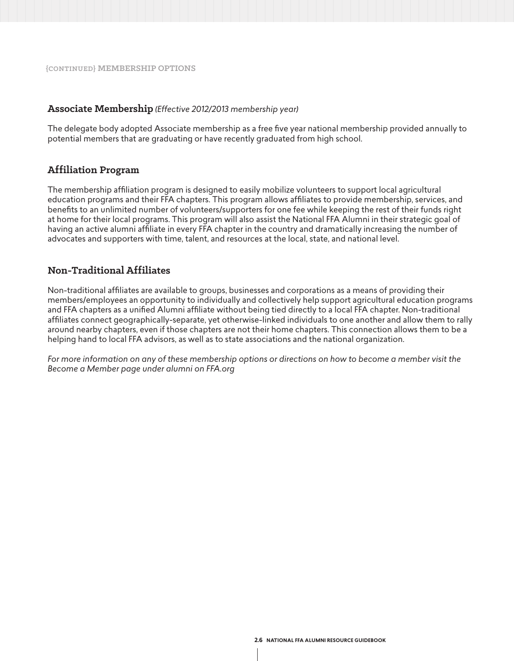## **Associate Membership** *(Effective 2012/2013 membership year)*

The delegate body adopted Associate membership as a free five year national membership provided annually to potential members that are graduating or have recently graduated from high school.

## **Af f iliation Program**

The membership affiliation program is designed to easily mobilize volunteers to support local agricultural education programs and their FFA chapters. This program allows affiliates to provide membership, services, and benefits to an unlimited number of volunteers/supporters for one fee while keeping the rest of their funds right at home for their local programs. This program will also assist the National FFA Alumni in their strategic goal of having an active alumni affiliate in every FFA chapter in the country and dramatically increasing the number of advocates and supporters with time, talent, and resources at the local, state, and national level.

## **Non-Traditional Affiliates**

Non-traditional affiliates are available to groups, businesses and corporations as a means of providing their members/employees an opportunity to individually and collectively help support agricultural education programs and FFA chapters as a unified Alumni affiliate without being tied directly to a local FFA chapter. Non-traditional affiliates connect geographically-separate, yet otherwise-linked individuals to one another and allow them to rally around nearby chapters, even if those chapters are not their home chapters. This connection allows them to be a helping hand to local FFA advisors, as well as to state associations and the national organization.

*For more information on any of these membership options or directions on how to become a member visit the Become a Member page under alumni on FFA.org*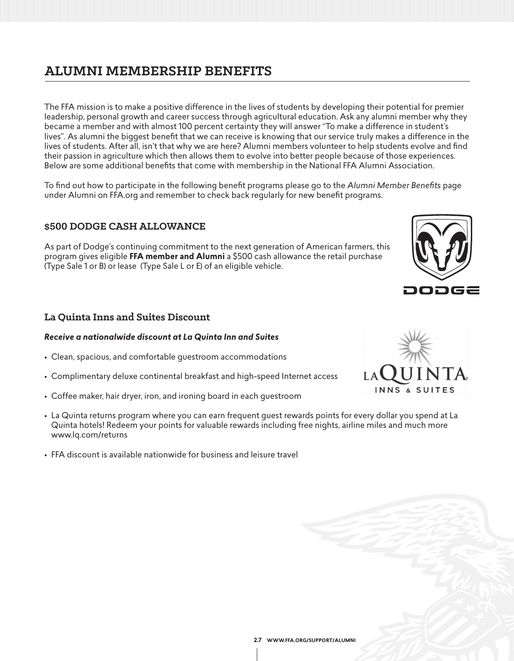# **ALUMNI MEMBERSHIP BENEFITS**

The FFA mission is to make a positive difference in the lives of students by developing their potential for premier leadership, personal growth and career success through agricultural education. Ask any alumni member why they became a member and with almost 100 percent certainty they will answer "To make a difference in student's lives". As alumni the biggest benefit that we can receive is knowing that our service truly makes a difference in the lives of students. After all, isn't that why we are here? Alumni members volunteer to help students evolve and find their passion in agriculture which then allows them to evolve into better people because of those experiences. Below are some additional benefits that come with membership in the National FFA Alumni Association.

To find out how to participate in the following benefit programs please go to the *Alumni Member Benefits* page under Alumni on FFA.org and remember to check back regularly for new benefit programs.

## **\$500 DODGE CASH ALLOWANCE**

As part of Dodge's continuing commitment to the next generation of American farmers, this program gives eligible **FFA member and Alumni** a \$500 cash allowance the retail purchase (Type Sale 1 or B) or lease (Type Sale L or E) of an eligible vehicle.

## **La Quinta Inns and Suites Discount**

### *Receive a nationalwide discount at La Quinta Inn and Suites*

- Clean, spacious, and comfortable guestroom accommodations
- Complimentary deluxe continental breakfast and high-speed Internet access
- Coffee maker, hair dryer, iron, and ironing board in each guestroom
- La Quinta returns program where you can earn frequent guest rewards points for every dollar you spend at La Quinta hotels! Redeem your points for valuable rewards including free nights, airline miles and much more www.lq.com/returns
- FFA discount is available nationwide for business and leisure travel



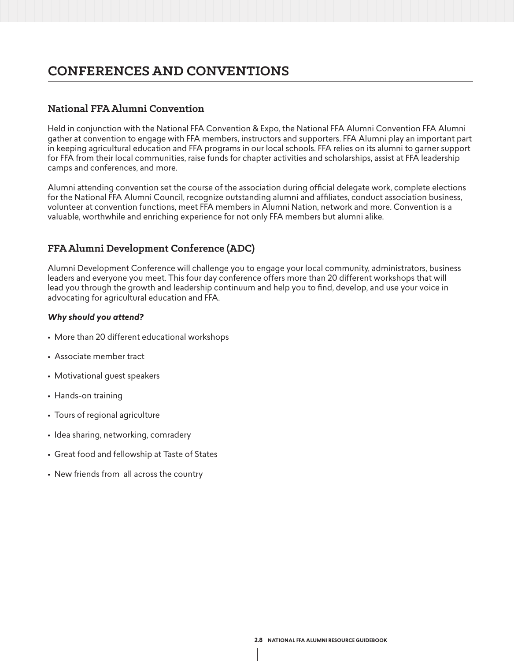# **CONFERENCES AND CONVENTIONS**

## **National FFA Alumni Convention**

Held in conjunction with the National FFA Convention & Expo, the National FFA Alumni Convention FFA Alumni gather at convention to engage with FFA members, instructors and supporters. FFA Alumni play an important part in keeping agricultural education and FFA programs in our local schools. FFA relies on its alumni to garner support for FFA from their local communities, raise funds for chapter activities and scholarships, assist at FFA leadership camps and conferences, and more.

Alumni attending convention set the course of the association during official delegate work, complete elections for the National FFA Alumni Council, recognize outstanding alumni and affiliates, conduct association business, volunteer at convention functions, meet FFA members in Alumni Nation, network and more. Convention is a valuable, worthwhile and enriching experience for not only FFA members but alumni alike.

# **FFA Alumni Development Conference (ADC)**

Alumni Development Conference will challenge you to engage your local community, administrators, business leaders and everyone you meet. This four day conference offers more than 20 different workshops that will lead you through the growth and leadership continuum and help you to find, develop, and use your voice in advocating for agricultural education and FFA.

## *Why should you attend?*

- More than 20 different educational workshops
- Associate member tract
- Motivational guest speakers
- Hands-on training
- Tours of regional agriculture
- Idea sharing, networking, comradery
- Great food and fellowship at Taste of States
- New friends from all across the country